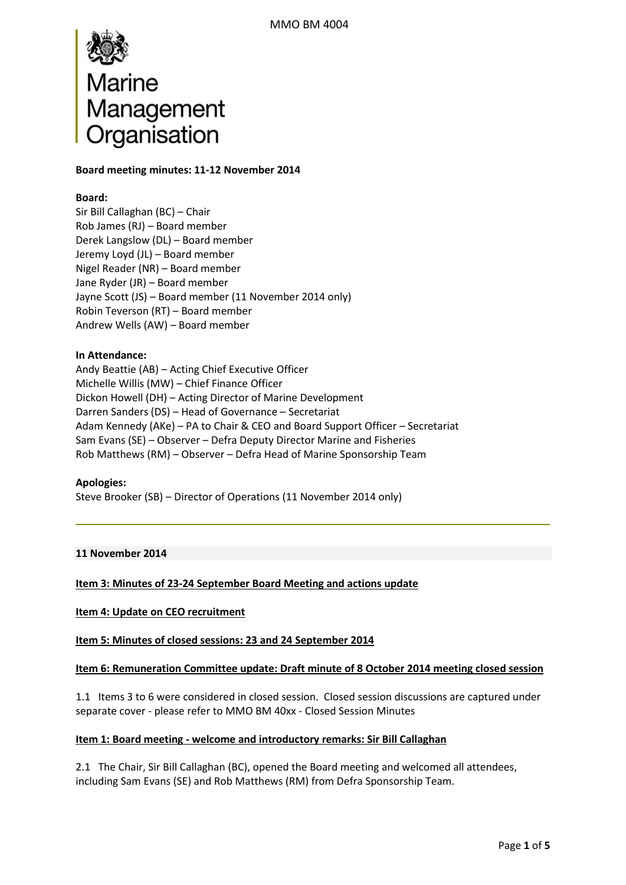

### **Board meeting minutes: 11-12 November 2014**

### **Board:**

Sir Bill Callaghan (BC) – Chair Rob James (RJ) – Board member Derek Langslow (DL) – Board member Jeremy Loyd (JL) – Board member Nigel Reader (NR) – Board member Jane Ryder (JR) – Board member Jayne Scott (JS) – Board member (11 November 2014 only) Robin Teverson (RT) – Board member Andrew Wells (AW) – Board member

# **In Attendance:**

Andy Beattie (AB) – Acting Chief Executive Officer Michelle Willis (MW) – Chief Finance Officer Dickon Howell (DH) – Acting Director of Marine Development Darren Sanders (DS) – Head of Governance – Secretariat Adam Kennedy (AKe) – PA to Chair & CEO and Board Support Officer – Secretariat Sam Evans (SE) – Observer – Defra Deputy Director Marine and Fisheries Rob Matthews (RM) – Observer – Defra Head of Marine Sponsorship Team

### **Apologies:**

Steve Brooker (SB) – Director of Operations (11 November 2014 only)

### **11 November 2014**

### **Item 3: Minutes of 23-24 September Board Meeting and actions update**

### **Item 4: Update on CEO recruitment**

**Item 5: Minutes of closed sessions: 23 and 24 September 2014** 

#### **Item 6: Remuneration Committee update: Draft minute of 8 October 2014 meeting closed session**

1.1 Items 3 to 6 were considered in closed session. Closed session discussions are captured under separate cover - please refer to MMO BM 40xx - Closed Session Minutes

#### **Item 1: Board meeting - welcome and introductory remarks: Sir Bill Callaghan**

2.1 The Chair, Sir Bill Callaghan (BC), opened the Board meeting and welcomed all attendees, including Sam Evans (SE) and Rob Matthews (RM) from Defra Sponsorship Team.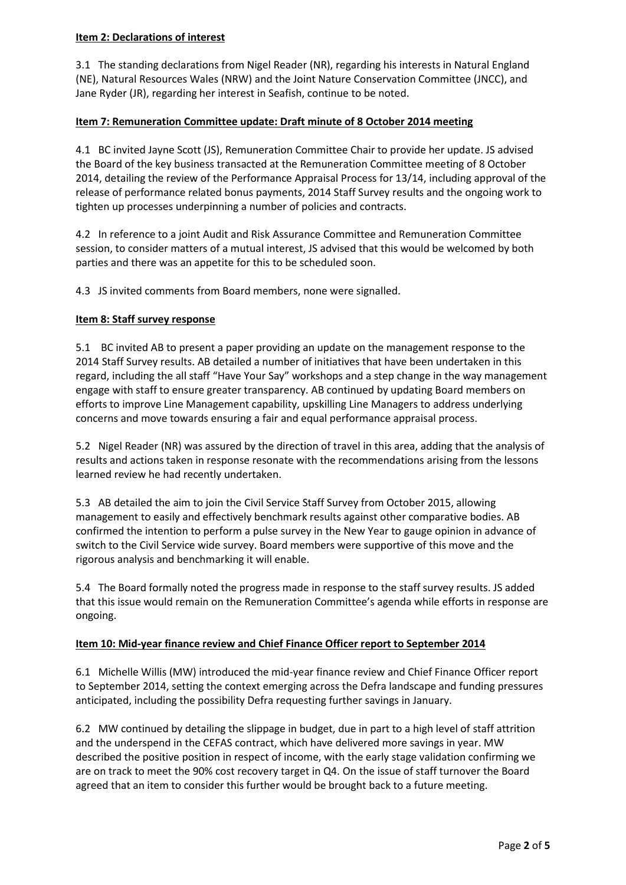# **Item 2: Declarations of interest**

3.1 The standing declarations from Nigel Reader (NR), regarding his interests in Natural England (NE), Natural Resources Wales (NRW) and the Joint Nature Conservation Committee (JNCC), and Jane Ryder (JR), regarding her interest in Seafish, continue to be noted.

# **Item 7: Remuneration Committee update: Draft minute of 8 October 2014 meeting**

4.1 BC invited Jayne Scott (JS), Remuneration Committee Chair to provide her update. JS advised the Board of the key business transacted at the Remuneration Committee meeting of 8 October 2014, detailing the review of the Performance Appraisal Process for 13/14, including approval of the release of performance related bonus payments, 2014 Staff Survey results and the ongoing work to tighten up processes underpinning a number of policies and contracts.

4.2 In reference to a joint Audit and Risk Assurance Committee and Remuneration Committee session, to consider matters of a mutual interest, JS advised that this would be welcomed by both parties and there was an appetite for this to be scheduled soon.

4.3 JS invited comments from Board members, none were signalled.

# **Item 8: Staff survey response**

5.1 BC invited AB to present a paper providing an update on the management response to the 2014 Staff Survey results. AB detailed a number of initiatives that have been undertaken in this regard, including the all staff "Have Your Say" workshops and a step change in the way management engage with staff to ensure greater transparency. AB continued by updating Board members on efforts to improve Line Management capability, upskilling Line Managers to address underlying concerns and move towards ensuring a fair and equal performance appraisal process.

5.2 Nigel Reader (NR) was assured by the direction of travel in this area, adding that the analysis of results and actions taken in response resonate with the recommendations arising from the lessons learned review he had recently undertaken.

5.3 AB detailed the aim to join the Civil Service Staff Survey from October 2015, allowing management to easily and effectively benchmark results against other comparative bodies. AB confirmed the intention to perform a pulse survey in the New Year to gauge opinion in advance of switch to the Civil Service wide survey. Board members were supportive of this move and the rigorous analysis and benchmarking it will enable.

5.4 The Board formally noted the progress made in response to the staff survey results. JS added that this issue would remain on the Remuneration Committee's agenda while efforts in response are ongoing.

# **Item 10: Mid-year finance review and Chief Finance Officer report to September 2014**

6.1 Michelle Willis (MW) introduced the mid-year finance review and Chief Finance Officer report to September 2014, setting the context emerging across the Defra landscape and funding pressures anticipated, including the possibility Defra requesting further savings in January.

6.2 MW continued by detailing the slippage in budget, due in part to a high level of staff attrition and the underspend in the CEFAS contract, which have delivered more savings in year. MW described the positive position in respect of income, with the early stage validation confirming we are on track to meet the 90% cost recovery target in Q4. On the issue of staff turnover the Board agreed that an item to consider this further would be brought back to a future meeting.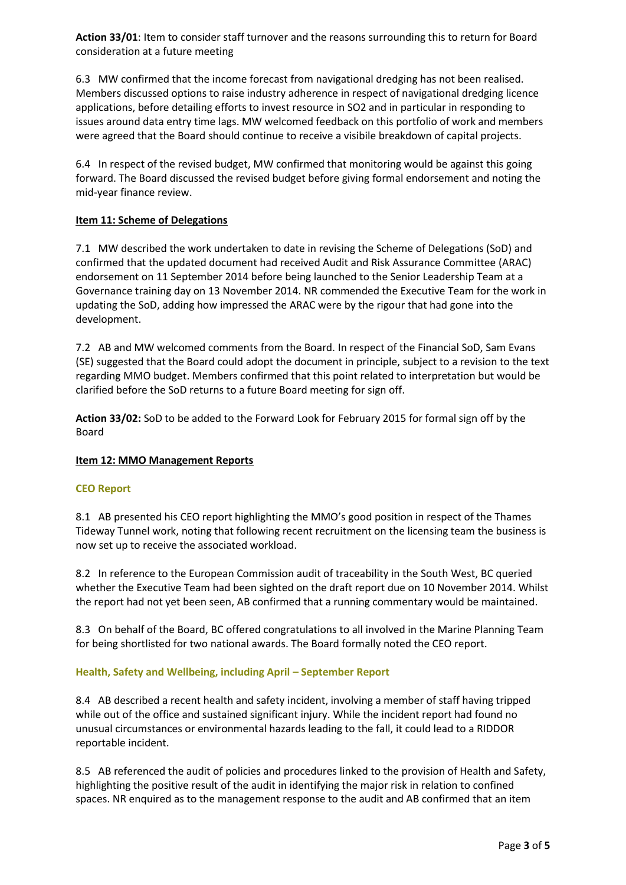**Action 33/01**: Item to consider staff turnover and the reasons surrounding this to return for Board consideration at a future meeting

6.3 MW confirmed that the income forecast from navigational dredging has not been realised. Members discussed options to raise industry adherence in respect of navigational dredging licence applications, before detailing efforts to invest resource in SO2 and in particular in responding to issues around data entry time lags. MW welcomed feedback on this portfolio of work and members were agreed that the Board should continue to receive a visibile breakdown of capital projects.

6.4 In respect of the revised budget, MW confirmed that monitoring would be against this going forward. The Board discussed the revised budget before giving formal endorsement and noting the mid-year finance review.

# **Item 11: Scheme of Delegations**

7.1 MW described the work undertaken to date in revising the Scheme of Delegations (SoD) and confirmed that the updated document had received Audit and Risk Assurance Committee (ARAC) endorsement on 11 September 2014 before being launched to the Senior Leadership Team at a Governance training day on 13 November 2014. NR commended the Executive Team for the work in updating the SoD, adding how impressed the ARAC were by the rigour that had gone into the development.

7.2 AB and MW welcomed comments from the Board. In respect of the Financial SoD, Sam Evans (SE) suggested that the Board could adopt the document in principle, subject to a revision to the text regarding MMO budget. Members confirmed that this point related to interpretation but would be clarified before the SoD returns to a future Board meeting for sign off.

**Action 33/02:** SoD to be added to the Forward Look for February 2015 for formal sign off by the Board

### **Item 12: MMO Management Reports**

### **CEO Report**

8.1 AB presented his CEO report highlighting the MMO's good position in respect of the Thames Tideway Tunnel work, noting that following recent recruitment on the licensing team the business is now set up to receive the associated workload.

8.2 In reference to the European Commission audit of traceability in the South West, BC queried whether the Executive Team had been sighted on the draft report due on 10 November 2014. Whilst the report had not yet been seen, AB confirmed that a running commentary would be maintained.

8.3 On behalf of the Board, BC offered congratulations to all involved in the Marine Planning Team for being shortlisted for two national awards. The Board formally noted the CEO report.

### **Health, Safety and Wellbeing, including April – September Report**

8.4 AB described a recent health and safety incident, involving a member of staff having tripped while out of the office and sustained significant injury. While the incident report had found no unusual circumstances or environmental hazards leading to the fall, it could lead to a RIDDOR reportable incident.

8.5 AB referenced the audit of policies and procedures linked to the provision of Health and Safety, highlighting the positive result of the audit in identifying the major risk in relation to confined spaces. NR enquired as to the management response to the audit and AB confirmed that an item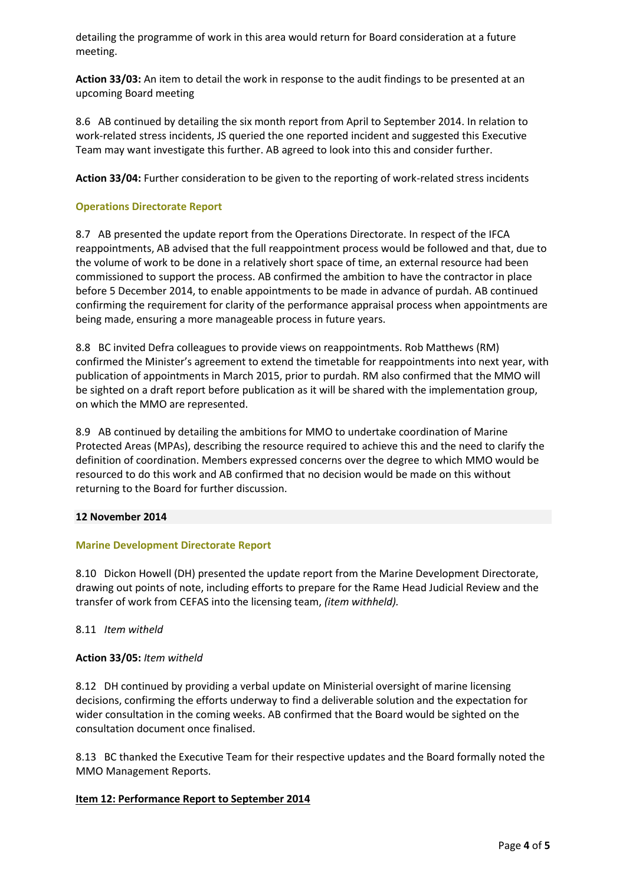detailing the programme of work in this area would return for Board consideration at a future meeting.

**Action 33/03:** An item to detail the work in response to the audit findings to be presented at an upcoming Board meeting

8.6 AB continued by detailing the six month report from April to September 2014. In relation to work-related stress incidents, JS queried the one reported incident and suggested this Executive Team may want investigate this further. AB agreed to look into this and consider further.

**Action 33/04:** Further consideration to be given to the reporting of work-related stress incidents

# **Operations Directorate Report**

8.7 AB presented the update report from the Operations Directorate. In respect of the IFCA reappointments, AB advised that the full reappointment process would be followed and that, due to the volume of work to be done in a relatively short space of time, an external resource had been commissioned to support the process. AB confirmed the ambition to have the contractor in place before 5 December 2014, to enable appointments to be made in advance of purdah. AB continued confirming the requirement for clarity of the performance appraisal process when appointments are being made, ensuring a more manageable process in future years.

8.8 BC invited Defra colleagues to provide views on reappointments. Rob Matthews (RM) confirmed the Minister's agreement to extend the timetable for reappointments into next year, with publication of appointments in March 2015, prior to purdah. RM also confirmed that the MMO will be sighted on a draft report before publication as it will be shared with the implementation group, on which the MMO are represented.

8.9 AB continued by detailing the ambitions for MMO to undertake coordination of Marine Protected Areas (MPAs), describing the resource required to achieve this and the need to clarify the definition of coordination. Members expressed concerns over the degree to which MMO would be resourced to do this work and AB confirmed that no decision would be made on this without returning to the Board for further discussion.

### **12 November 2014**

### **Marine Development Directorate Report**

8.10 Dickon Howell (DH) presented the update report from the Marine Development Directorate, drawing out points of note, including efforts to prepare for the Rame Head Judicial Review and the transfer of work from CEFAS into the licensing team, *(item withheld).*

### 8.11 *Item witheld*

### **Action 33/05:** *Item witheld*

8.12 DH continued by providing a verbal update on Ministerial oversight of marine licensing decisions, confirming the efforts underway to find a deliverable solution and the expectation for wider consultation in the coming weeks. AB confirmed that the Board would be sighted on the consultation document once finalised.

8.13 BC thanked the Executive Team for their respective updates and the Board formally noted the MMO Management Reports.

### **Item 12: Performance Report to September 2014**